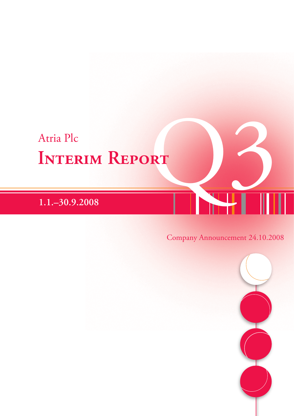# Atria Plc<br>INTERIM REPORT **Interim Report**

**1.1.–30.9.2008**

# Company Announcement 24.10.2008

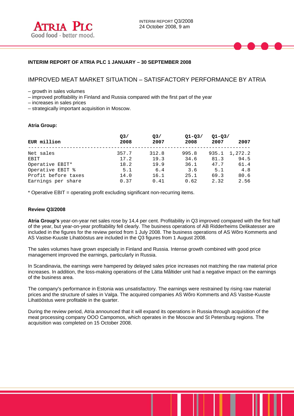# **INTERIM REPORT OF ATRIA PLC 1 JANUARY – 30 SEPTEMBER 2008**

# IMPROVED MEAT MARKET SITUATION – SATISFACTORY PERFORMANCE BY ATRIA

– growth in sales volumes

– improved profitability in Finland and Russia compared with the first part of the year

– increases in sales prices

– strategically important acquisition in Moscow.

#### **Atria Group:**

l

|                     | Q <sub>3</sub> | Q <sub>3</sub> | $Q1 - Q3/$ | $Q1 - Q3/$ |         |
|---------------------|----------------|----------------|------------|------------|---------|
| EUR million         | 2008           | 2007           | 2008       | 2007       | 2007    |
| Net sales           | 357.7          | 312.8          | 995.8      | 935.1      | 1,272.2 |
| EBIT                | 17.2           | 19.3           | 34.6       | 81.3       | 94.5    |
| Operative EBIT*     | 18.2           | 19.9           | 36.1       | 47.7       | 61.4    |
| Operative EBIT %    | 5.1            | 6.4            | 3.6        | 5.1        | 4.8     |
| Profit before taxes | 14.0           | 16.1           | 25.1       | 69.3       | 80.6    |
| Earnings per share  | 0.37           | 0.41           | 0.62       | 2.32       | 2.56    |

\* Operative EBIT = operating profit excluding significant non-recurring items.

#### **Review Q3/2008**

**Atria Group's** year-on-year net sales rose by 14,4 per cent. Profitability in Q3 improved compared with the first half of the year, but year-on-year profitability fell clearly. The business operations of AB Ridderheims Delikatesser are included in the figures for the review period from 1 July 2008. The business operations of AS Wõro Kommerts and AS Vastse-Kuuste Lihatööstus are included in the Q3 figures from 1 August 2008.

The sales volumes have grown especially in Finland and Russia. Intense growth combined with good price management improved the earnings, particularly in Russia.

In Scandinavia, the earnings were hampered by delayed sales price increases not matching the raw material price increases. In addition, the loss-making operations of the Lätta Måltider unit had a negative impact on the earnings of the business area.

The company's performance in Estonia was unsatisfactory. The earnings were restrained by rising raw material prices and the structure of sales in Valga. The acquired companies AS Wõro Kommerts and AS Vastse-Kuuste Lihatööstus were profitable in the quarter.

During the review period, Atria announced that it will expand its operations in Russia through acquisition of the meat processing company OOO Campomos, which operates in the Moscow and St Petersburg regions. The acquisition was completed on 15 October 2008.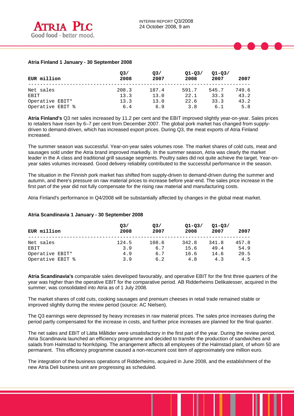# **Atria Finland 1 January - 30 September 2008**

| EUR million      | O <sub>3</sub><br>2008 | Q <sub>3</sub><br>2007 | $Q1 - Q3/$<br>2008 | $Q1 - Q3/$<br>2007 | 2007  |
|------------------|------------------------|------------------------|--------------------|--------------------|-------|
| Net sales        | 208.3                  | 187.4                  | 591.7              | 545.7              | 749.6 |
| EBIT             | 13.3                   | 13.0                   | 22.1               | 33.3               | 43.2  |
| Operative EBIT*  | 13.3                   | 13.0                   | 22.6               | 33.3               | 43.2  |
| Operative EBIT % | 6.4                    | 6.9                    | 3.8                | 6.1                | 5.8   |

**Atria Finland's** Q3 net sales increased by 11.2 per cent and the EBIT improved slightly year-on-year. Sales prices to retailers have risen by 6–7 per cent from December 2007. The global pork market has changed from supplydriven to demand-driven, which has increased export prices. During Q3, the meat exports of Atria Finland increased.

The summer season was successful. Year-on-year sales volumes rose. The market shares of cold cuts, meat and sausages sold under the Atria brand improved markedly. In the summer season, Atria was clearly the market leader in the A class and traditional grill sausage segments. Poultry sales did not quite achieve the target. Year-onyear sales volumes increased. Good delivery reliability contributed to the successful performance in the season.

The situation in the Finnish pork market has shifted from supply-driven to demand-driven during the summer and autumn, and there's pressure on raw material prices to increase before year-end. The sales price increase in the first part of the year did not fully compensate for the rising raw material and manufacturing costs.

Atria Finland's performance in Q4/2008 will be substantially affected by changes in the global meat market.

#### **Atria Scandinavia 1 January - 30 September 2008**

| EUR million      | O <sub>3</sub><br>2008 | Q <sub>3</sub><br>2007 | $Q1 - Q3/$<br>2008 | $Q1 - Q3/$<br>2007 | 2007  |
|------------------|------------------------|------------------------|--------------------|--------------------|-------|
| Net sales        | 124.5                  | 108.6                  | 342.8              | 341.8              | 457.8 |
| EBIT             | 3.9                    | 6.7                    | 15.6               | 49.4               | 54.9  |
| Operative EBIT*  | 4.9                    | 6.7                    | 16.6               | 14.6               | 20.5  |
| Operative EBIT % | 3.9                    | 6.2                    | 4.8                | 4.3                | 4.5   |

**Atria Scandinavia's** comparable sales developed favourably, and operative EBIT for the first three quarters of the year was higher than the operative EBIT for the comparative period. AB Ridderheims Delikatesser, acquired in the summer, was consolidated into Atria as of 1 July 2008.

The market shares of cold cuts, cooking sausages and premium cheeses in retail trade remained stable or improved slightly during the review period (source: AC Nielsen).

The Q3 earnings were depressed by heavy increases in raw material prices. The sales price increases during the period partly compensated for the increase in costs, and further price increases are planned for the final quarter.

The net sales and EBIT of Lätta Måltider were unsatisfactory in the first part of the year. During the review period, Atria Scandinavia launched an efficiency programme and decided to transfer the production of sandwiches and salads from Halmstad to Norrköping. The arrangement affects all employees of the Halmstad plant, of whom 50 are permanent. This efficiency programme caused a non-recurrent cost item of approximately one million euro.

The integration of the business operations of Ridderheims, acquired in June 2008, and the establishment of the new Atria Deli business unit are progressing as scheduled.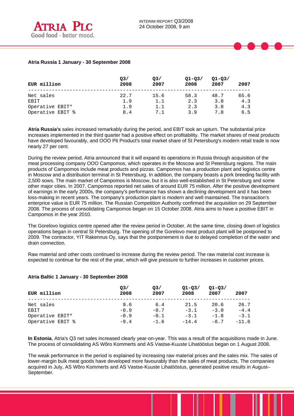### **Atria Russia 1 January - 30 September 2008**

| EUR million      | O <sub>3</sub><br>2008 | Q <sub>3</sub><br>2007 | $Q1 - Q3/$<br>2008 | $Q1 - Q3/$<br>2007 | 2007 |
|------------------|------------------------|------------------------|--------------------|--------------------|------|
| Net sales        | 22.7                   | 15.6                   | 58.3               | 48.7               | 65.6 |
| EBIT             | 1.9                    | 1.1                    | 2.3                | 3.8                | 4.3  |
| Operative EBIT*  | 1.9                    | 1.1                    | 2.3                | 3.8                | 4.3  |
| Operative EBIT % | 8.4                    | 7.1                    | 3.9                | 7.8                | 6.5  |

**Atria Russia's** sales increased remarkably during the period, and EBIT took an upturn. The substantial price increases implemented in the third quarter had a positive effect on profitability. The market shares of meat products have developed favourably, and OOO Pit Product's total market share of St Petersburg's modern retail trade is now nearly 27 per cent.

During the review period, Atria announced that it will expand its operations in Russia through acquisition of the meat processing company OOO Campomos, which operates in the Moscow and St Petersburg regions. The main products of Campomos include meat products and pizzas. Campomos has a production plant and logistics centre in Moscow and a distribution terminal in St Petersburg. In addition, the company boasts a pork breeding facility with 2,500 sows. The main market of Campomos is Moscow, but it is also well-established in St Petersburg and some other major cities. In 2007, Campomos reported net sales of around EUR 75 million. After the positive development of earnings in the early 2000s, the company's performance has shown a declining development and it has been loss-making in recent years. The company's production plant is modern and well maintained. The transaction's enterprice value is EUR 75 million. The Russian Competition Authority confirmed the acquisition on 29 September 2008. The process of consolidating Campomos began on 15 October 2008. Atria aims to have a positive EBIT in Campomos in the year 2010.

The Gorelovo logistics centre opened after the review period in October. At the same time, closing down of logistics operations began in central St Petersburg. The opening of the Gorelovo meat product plant will be postponed to 2009. The contractor, YIT Rakennus Oy, says that the postponement is due to delayed completion of the water and drain connection.

Raw material and other costs continued to increase during the review period. The raw material cost increase is expected to continue for the rest of the year, which will give pressure to further increases in customer prices.

# **Atria Baltic 1 January - 30 September 2008**

| EUR million      | O <sub>3</sub><br>2008 | Q <sub>3</sub><br>2007 | $Q1 - Q3/$<br>2008 | $Q1 - Q3/$<br>2007 | 2007    |
|------------------|------------------------|------------------------|--------------------|--------------------|---------|
| Net sales        | 9.6                    | 6.4                    | 21.5               | 20.6               | 26.7    |
| EBIT             | $-0.9$                 | $-0.7$                 | $-3.1$             | $-3.0$             | $-4.4$  |
| Operative EBIT*  | $-0.9$                 | $-0.1$                 | $-3.1$             | $-1.8$             | $-3.1$  |
| Operative EBIT % | $-9.4$                 | $-1.6$                 | $-14.4$            | $-8.7$             | $-11.6$ |

**In Estonia**, Atria's Q3 net sales increased clearly year-on-year. This was a result of the acquisitions made in June. The process of consolidating AS Wõro Kommerts and AS Vastse-Kuuste Lihatööstus began on 1 August 2008.

The weak performance in the period is explained by increasing raw material prices and the sales mix. The sales of lower-margin bulk meat goods have developed more favourably than the sales of meat products. The companies acquired in July, AS Wõro Kommerts and AS Vastse-Kuuste Lihatööstus, generated positive results in August– September.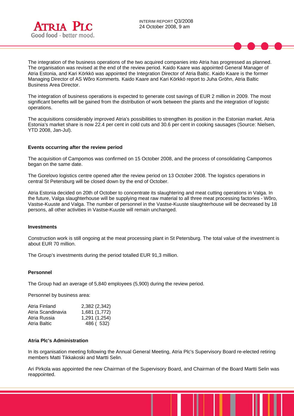INTERIM REPORT Q3/2008 24 October 2008, 9 am



l

The integration of the business operations of the two acquired companies into Atria has progressed as planned. The organisation was revised at the end of the review period. Kaido Kaare was appointed General Manager of Atria Estonia, and Kari Körkkö was appointed the Integration Director of Atria Baltic. Kaido Kaare is the former Managing Director of AS Wõro Kommerts. Kaido Kaare and Kari Körkkö report to Juha Gröhn, Atria Baltic Business Area Director.

The integration of business operations is expected to generate cost savings of EUR 2 million in 2009. The most significant benefits will be gained from the distribution of work between the plants and the integration of logistic operations.

The acquisitions considerably improved Atria's possibilities to strengthen its position in the Estonian market. Atria Estonia's market share is now 22.4 per cent in cold cuts and 30.6 per cent in cooking sausages (Source: Nielsen, YTD 2008, Jan-Jul).

#### **Events occurring after the review period**

The acquisition of Campomos was confirmed on 15 October 2008, and the process of consolidating Campomos began on the same date.

The Gorelovo logistics centre opened after the review period on 13 October 2008. The logistics operations in central St Petersburg will be closed down by the end of October.

Atria Estonia decided on 20th of October to concentrate its slaughtering and meat cutting operations in Valga. In the future, Valga slaughterhouse will be supplying meat raw material to all three meat processing factories - Wõro, Vastse-Kuuste and Valga. The number of personnel in the Vastse-Kuuste slaughterhouse will be decreased by 18 persons, all other activities in Vastse-Kuuste will remain unchanged.

#### **Investments**

Construction work is still ongoing at the meat processing plant in St Petersburg. The total value of the investment is about EUR 70 million.

The Group's investments during the period totalled EUR 91,3 million.

#### **Personnel**

The Group had an average of 5,840 employees (5,900) during the review period.

Personnel by business area:

| 2,382 (2,342) |
|---------------|
| 1,681 (1,772) |
| 1,291 (1,254) |
| 486 (532)     |
|               |

#### **Atria Plc's Administration**

In its organisation meeting following the Annual General Meeting, Atria Plc's Supervisory Board re-elected retiring members Matti Tikkakoski and Martti Selin.

Ari Pirkola was appointed the new Chairman of the Supervisory Board, and Chairman of the Board Martti Selin was reappointed.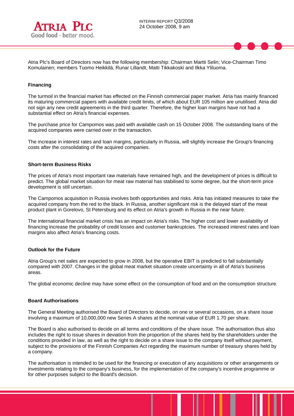

Atria Plc's Board of Directors now has the following membership: Chairman Martti Selin; Vice-Chairman Timo Komulainen; members Tuomo Heikkilä, Runar Lillandt, Matti Tikkakoski and Ilkka Yliluoma.

#### **Financing**

l

The turmoil in the financial market has effected on the Finnish commercial paper market. Atria has mainly financed its maturing commercial papers with available credit limits, of which about EUR 105 million are unutilised. Atria did not sign any new credit agreements in the third quarter. Therefore, the higher loan margins have not had a substantial effect on Atria's financial expenses.

The purchase price for Campomos was paid with available cash on 15 October 2008. The outstanding loans of the acquired companies were carried over in the transaction.

The increase in interest rates and loan margins, particularly in Russia, will slightly increase the Group's financing costs after the consolidating of the acquired companies.

#### **Short-term Business Risks**

The prices of Atria's most important raw materials have remained high, and the development of prices is difficult to predict. The global market situation for meat raw material has stabilised to some degree, but the short-term price development is still uncertain.

The Campomos acquisition in Russia involves both opportunities and risks. Atria has initiated measures to take the acquired company from the red to the black. In Russia, another significant risk is the delayed start of the meat product plant in Gorelovo, St Petersburg and its effect on Atria's growth in Russia in the near future.

The international financial market crisis has an impact on Atria's risks. The higher cost and lower availability of financing increase the probability of credit losses and customer bankruptcies. The increased interest rates and loan margins also affect Atria's financing costs.

#### **Outlook for the Future**

Atria Group's net sales are expected to grow in 2008, but the operative EBIT is predicted to fall substantially compared with 2007. Changes in the global meat market situation create uncertainty in all of Atria's business areas.

The global economic decline may have some effect on the consumption of food and on the consumption structure.

#### **Board Authorisations**

The General Meeting authorised the Board of Directors to decide, on one or several occasions, on a share issue involving a maximum of 10,000,000 new Series A shares at the nominal value of EUR 1.70 per share.

The Board is also authorised to decide on all terms and conditions of the share issue. The authorisation thus also includes the right to issue shares in deviation from the proportion of the shares held by the shareholders under the conditions provided in law, as well as the right to decide on a share issue to the company itself without payment, subject to the provisions of the Finnish Companies Act regarding the maximum number of treasury shares held by a company.

The authorisation is intended to be used for the financing or execution of any acquisitions or other arrangements or investments relating to the company's business, for the implementation of the company's incentive programme or for other purposes subject to the Board's decision.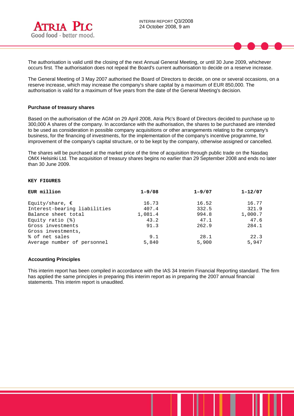

The authorisation is valid until the closing of the next Annual General Meeting, or until 30 June 2009, whichever occurs first. The authorisation does not repeal the Board's current authorisation to decide on a reserve increase.

The General Meeting of 3 May 2007 authorised the Board of Directors to decide, on one or several occasions, on a reserve increase, which may increase the company's share capital by a maximum of EUR 850,000. The authorisation is valid for a maximum of five years from the date of the General Meeting's decision.

#### **Purchase of treasury shares**

Based on the authorisation of the AGM on 29 April 2008, Atria Plc's Board of Directors decided to purchase up to 300,000 A shares of the company. In accordance with the authorisation, the shares to be purchased are intended to be used as consideration in possible company acquisitions or other arrangements relating to the company's business, for the financing of investments, for the implementation of the company's incentive programme, for improvement of the company's capital structure, or to be kept by the company, otherwise assigned or cancelled.

The shares will be purchased at the market price of the time of acquisition through public trade on the Nasdaq OMX Helsinki Ltd. The acquisition of treasury shares begins no earlier than 29 September 2008 and ends no later than 30 June 2009.

#### **KEY FIGURES**

| EUR million                  | $1 - 9/08$ | $1 - 9/07$ | $1 - 12/07$ |
|------------------------------|------------|------------|-------------|
| Equity/share, $\epsilon$     | 16.73      | 16.52      | 16.77       |
| Interest-bearing liabilities | 407.4      | 332.5      | 321.9       |
| Balance sheet total          | 1,081.4    | 994.8      | 1,000.7     |
| Equity ratio $(\mathcal{E})$ | 43.2       | 47.1       | 47.6        |
| Gross investments            | 91.3       | 262.9      | 284.1       |
| Gross investments,           |            |            |             |
| % of net sales               | 9.1        | 28.1       | 22.3        |
| Average number of personnel  | 5,840      | 5,900      | 5,947       |

#### **Accounting Principles**

This interim report has been compiled in accordance with the IAS 34 Interim Financial Reporting standard. The firm has applied the same principles in preparing this interim report as in preparing the 2007 annual financial statements. This interim report is unaudited.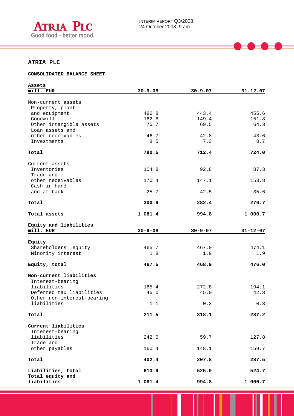

# **ATRIA PLC**

l

#### **CONSOLIDATED BALANCE SHEET**

| Assets                     |               |               |                |
|----------------------------|---------------|---------------|----------------|
| mill. EUR                  | $30 - 9 - 08$ | $30 - 9 - 07$ | $31 - 12 - 07$ |
|                            |               |               |                |
| Non-current assets         |               |               |                |
| Property, plant            |               |               |                |
| and equipment              | 486.8         | 443.4         | 455.6          |
| Goodwill                   | 162.8         | 149.4         | 151.8          |
| Other intangible assets    | 75.7          | 69.5          | 64.3           |
| Loan assets and            |               |               |                |
| other receivables          | 46.7          | 42.8          | 43.6           |
| Investments                | 8.5           | 7.3           | 8.7            |
| Total                      | 780.5         | 712.4         | 724.0          |
|                            |               |               |                |
| Current assets             |               |               |                |
| Inventories                | 104.8         | 92.8          | 87.3           |
| Trade and                  |               |               |                |
| other receivables          | 170.4         | 147.1         | 153.8          |
| Cash in hand               |               |               |                |
| and at bank                | 25.7          | 42.5          | 35.6           |
|                            |               |               |                |
| Total                      | 300.9         | 282.4         | 276.7          |
|                            |               |               |                |
| Total assets               | 1 081.4       | 994.8         | 1000.7         |
|                            |               |               |                |
| Equity and liabilities     |               |               |                |
| mill. EUR                  | $30 - 9 - 08$ | $30 - 9 - 07$ | $31 - 12 - 07$ |
|                            |               |               |                |
| Equity                     |               |               |                |
| Shareholders' equity       | 465.7<br>1.8  | 467.0<br>1.9  | 474.1          |
| Minority interest          |               |               | 1.9            |
| Equity, total              | 467.5         | 468.9         | 476.0          |
|                            |               |               |                |
| Non-current liabilities    |               |               |                |
| Interest-bearing           |               |               |                |
| liabilities                | 165.4         | 272.8         | 194.1          |
| Deferred tax liabilities   | 45.0          | 45.0          | 42.8           |
| Other non-interest-bearing |               |               |                |
| liabilities                | 1.1           | 0.3           | 0.3            |
|                            |               |               |                |
| Total                      | 211.5         | 318.1         | 237.2          |
|                            |               |               |                |
| Current liabilities        |               |               |                |
| Interest-bearing           |               |               |                |
| liabilities                | 242.0         | 59.7          | 127.8          |
| Trade and                  |               |               |                |
| other payables             | 160.4         | 148.1         | 159.7          |
|                            |               |               |                |
| Total                      | 402.4         | 207.8         | 287.5          |
|                            |               |               |                |
| Liabilities, total         | 613.9         | 525.9         | 524.7          |
| Total equity and           |               |               |                |
| liabilities                | 1 081.4       | 994.8         | 1 000.7        |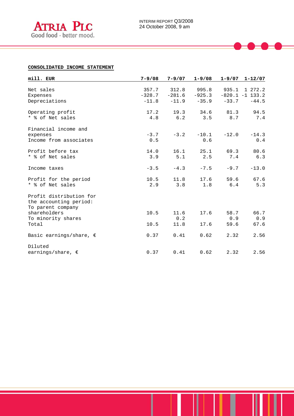

#### **CONSOLIDATED INCOME STATEMENT**

| mill. EUR                                                              | $7 - 9/08$ | $7 - 9/07$ | $1 - 9/08$ | $1 - 9/07$ | $1 - 12/07$       |
|------------------------------------------------------------------------|------------|------------|------------|------------|-------------------|
| Net sales                                                              | 357.7      | 312.8      | 995.8      | 935.1      | 1 272.2           |
| Expenses                                                               | $-328.7$   | $-281.6$   | $-925.3$   |            | $-820.1 -1$ 133.2 |
| Depreciations                                                          | $-11.8$    | $-11.9$    | $-35.9$    | $-33.7$    | $-44.5$           |
|                                                                        |            |            |            |            |                   |
| Operating profit                                                       | 17.2       | 19.3       | 34.6       | 81.3       | 94.5              |
| * % of Net sales                                                       | 4.8        | 6.2        | 3.5        | 8.7        | 7.4               |
| Financial income and                                                   |            |            |            |            |                   |
| expenses                                                               | $-3.7$     | $-3.2$     | $-10.1$    | $-12.0$    | $-14.3$           |
| Income from associates                                                 | 0.5        |            | 0.6        |            | 0.4               |
| Profit before tax                                                      | 14.0       | 16.1       | 25.1       | 69.3       | 80.6              |
| * % of Net sales                                                       | 3.9        | 5.1        | 2.5        | 7.4        | 6.3               |
| Income taxes                                                           | $-3.5$     | $-4.3$     | $-7.5$     | $-9.7$     | $-13.0$           |
| Profit for the period                                                  | 10.5       | 11.8       | 17.6       | 59.6       | 67.6              |
| * % of Net sales                                                       | 2.9        | 3.8        | 1.8        | 6.4        | 5.3               |
| Profit distribution for<br>the accounting period:<br>To parent company |            |            |            |            |                   |
| shareholders                                                           | 10.5       | 11.6       | 17.6       | 58.7       | 66.7              |
| To minority shares                                                     |            | 0.2        |            | 0.9        | 0.9               |
| Total                                                                  | 10.5       | 11.8       | 17.6       | 59.6       | 67.6              |
| Basic earnings/share, $\epsilon$                                       | 0.37       | 0.41       | 0.62       | 2.32       | 2.56              |
| Diluted                                                                |            |            |            |            |                   |
| earnings/share, $\epsilon$                                             | 0.37       | 0.41       | 0.62       | 2.32       | 2.56              |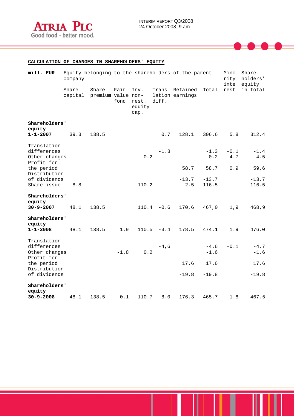

# **CALCULATION OF CHANGES IN SHAREHOLDERS' EQUITY**

| mill. EUR                                                 | company          | Equity belonging to the shareholders of the parent |              |                                 | Mino<br>rity<br>inte | Share<br>holders'<br>equity |                  |                  |                  |
|-----------------------------------------------------------|------------------|----------------------------------------------------|--------------|---------------------------------|----------------------|-----------------------------|------------------|------------------|------------------|
|                                                           | Share<br>capital | Share<br>premium value non-                        | Fair<br>fond | Inv.<br>rest.<br>equity<br>cap. | Trans<br>diff.       | Retained<br>lation earnings | Total            | rest             | in total         |
| Shareholders'<br>equity                                   |                  |                                                    |              |                                 |                      |                             |                  |                  |                  |
| $1 - 1 - 2007$                                            | 39.3             | 138.5                                              |              |                                 | 0.7                  | 128.1                       | 306.6            | $5.8$            | 312.4            |
| Translation<br>differences<br>Other changes<br>Profit for |                  |                                                    |              | 0.2                             | $-1.3$               |                             | $-1.3$<br>0.2    | $-0.1$<br>$-4.7$ | $-1.4$<br>$-4.5$ |
| the period<br>Distribution                                |                  |                                                    |              |                                 |                      | 58.7                        | 58.7             | 0.9              | 59,6             |
| of dividends<br>Share issue                               | 8.8              |                                                    |              | 110.2                           |                      | $-13.7$<br>$-2.5$           | $-13.7$<br>116.5 |                  | $-13.7$<br>116.5 |
| Shareholders'<br>equity                                   |                  |                                                    |              |                                 |                      |                             |                  |                  |                  |
| $30 - 9 - 2007$                                           | 48.1             | 138.5                                              |              |                                 | $110.4 - 0.6$        | 170,6                       | 467,0            | 1,9              | 468,9            |
| Shareholders'<br>equity<br>$1 - 1 - 2008$                 | 48.1             | 138.5                                              | 1.9          |                                 | $110.5 - 3.4$        | 178.5                       | 474.1            | 1.9              | 476.0            |
| Translation                                               |                  |                                                    |              |                                 |                      |                             |                  |                  |                  |
| differences<br>Other changes<br>Profit for                |                  |                                                    | $-1.8$       | 0.2                             | $-4,6$               |                             | $-4.6$<br>$-1.6$ | $-0.1$           | $-4.7$<br>$-1.6$ |
| the period<br>Distribution                                |                  |                                                    |              |                                 |                      | 17.6                        | 17.6             |                  | 17.6             |
| of dividends                                              |                  |                                                    |              |                                 |                      | $-19.8$                     | $-19.8$          |                  | $-19.8$          |
| Shareholders'<br>equity                                   |                  |                                                    |              |                                 |                      |                             |                  |                  |                  |
| $30 - 9 - 2008$                                           | 48.1             | 138.5                                              | 0.1          |                                 | $110.7 - 8.0$        | 176,3                       | 465.7            | 1.8              | 467.5            |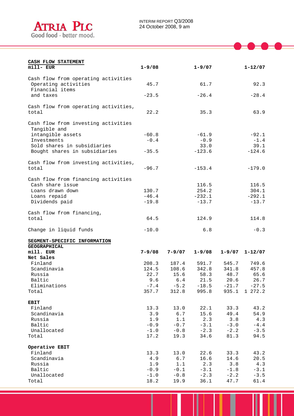

| CASH FLOW STATEMENT                  |            |            |            |            |             |
|--------------------------------------|------------|------------|------------|------------|-------------|
| mill- EUR                            | $1 - 9/08$ |            | $1 - 9/07$ |            | $1 - 12/07$ |
|                                      |            |            |            |            |             |
| Cash flow from operating activities  |            |            |            |            |             |
| Operating activities                 | 45.7       |            | 61.7       |            | 92.3        |
| Financial items                      |            |            |            |            |             |
| and taxes                            | $-23.5$    |            | $-26.4$    |            | $-28.4$     |
|                                      |            |            |            |            |             |
| Cash flow from operating activities, |            |            |            |            |             |
| total                                | 22.2       |            | 35.3       |            | 63.9        |
|                                      |            |            |            |            |             |
| Cash flow from investing activities  |            |            |            |            |             |
| Tangible and                         |            |            |            |            |             |
| intangible assets                    | $-60.8$    |            | $-61.9$    |            | $-92.1$     |
| Investments                          | $-0.4$     |            | $-0.9$     |            | $-1.4$      |
| Sold shares in subsidiaries          |            |            | 33.0       |            | 39.1        |
| Bought shares in subsidiaries        | $-35.5$    |            | $-123.6$   |            | $-124.6$    |
|                                      |            |            |            |            |             |
| Cash flow from investing activities, |            |            |            |            |             |
| total                                | $-96.7$    |            | $-153.4$   |            | $-179.0$    |
|                                      |            |            |            |            |             |
| Cash flow from financing activities  |            |            |            |            |             |
| Cash share issue                     |            |            | 116.5      |            | 116.5       |
| Loans drawn down                     | 130.7      |            | 254.2      |            | 304.1       |
| Loans repaid                         | $-46.4$    |            | $-232.1$   |            | $-292.1$    |
| Dividends paid                       | $-19.8$    |            | $-13.7$    |            | $-13.7$     |
|                                      |            |            |            |            |             |
| Cash flow from financing,            |            |            |            |            |             |
| total                                | 64.5       |            | 124.9      |            | 114.8       |
|                                      |            |            |            |            |             |
| Change in liquid funds               | $-10.0$    |            | 6.8        |            | $-0.3$      |
|                                      |            |            |            |            |             |
| SEGMENT-SPECIFIC INFORMATION         |            |            |            |            |             |
| <b>GEOGRAPHICAL</b>                  |            |            |            |            |             |
| mill. EUR                            | $7 - 9/08$ | $7 - 9/07$ | $1 - 9/08$ | $1 - 9/07$ | $1 - 12/07$ |
| Net Sales                            |            |            |            |            |             |
| Finland                              | 208.3      | 187.4      | 591.7      | 545.7      | 749.6       |
| Scandinavia                          | 124.5      | 108.6      | 342.8      | 341.8      | 457.8       |
| Russia                               | 22.7       | 15.6       | 58.3       | 48.7       | 65.6        |
| Baltic                               | 9.6        | 6.4        | 21.5       | 20.6       | 26.7        |
| Eliminations                         | $-7.4$     | $-5.2$     | $-18.5$    | $-21.7$    | $-27.5$     |
| Total                                | 357.7      | 312.8      | 995.8      | 935.1      | 1 272.2     |
|                                      |            |            |            |            |             |
| <b>EBIT</b>                          |            |            |            |            |             |
| Finland                              | 13.3       | 13.0       | 22.1       | 33.3       | 43.2        |
| Scandinavia                          | 3.9        | 6.7        | 15.6       | 49.4       | 54.9        |
| Russia                               | 1.9        | 1.1        | 2.3        | 3.8        | 4.3         |
| Baltic                               | $-0.9$     | $-0.7$     | $-3.1$     | $-3.0$     | $-4.4$      |
| Unallocated                          | $-1.0$     | $-0.8$     | $-2.3$     | $-2.2$     | $-3.5$      |
| Total                                | 17.2       | 19.3       | 34.6       | 81.3       | 94.5        |
|                                      |            |            |            |            |             |
| Operative EBIT                       |            |            |            |            |             |
| Finland                              | 13.3       | 13.0       | 22.6       | 33.3       | 43.2        |
| Scandinavia                          | 4.9        | 6.7        | 16.6       | 14.6       | 20.5        |
| Russia                               | 1.9        | 1.1        | 2.3        | 3.8        | 4.3         |
| Baltic                               | $-0.9$     | $-0.1$     | $-3.1$     | $-1.8$     | $-3.1$      |
| Unallocated                          | $-1.0$     | $-0.8$     | $-2.3$     | $-2.2$     | $-3.5$      |
| Total                                | 18.2       | 19.9       | 36.1       | 47.7       | 61.4        |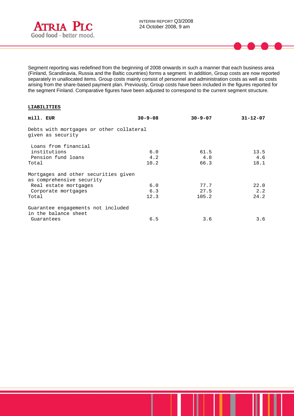

Segment reporting was redefined from the beginning of 2008 onwards in such a manner that each business area (Finland, Scandinavia, Russia and the Baltic countries) forms a segment. In addition, Group costs are now reported separately in unallocated items. Group costs mainly consist of personnel and administration costs as well as costs arising from the share-based payment plan. Previously, Group costs have been included in the figures reported for the segment Finland. Comparative figures have been adjusted to correspond to the current segment structure.

#### **LIABILITIES**

l

| mill. EUR                 |                                          | $30 - 9 - 08$ | $30 - 9 - 07$ | $31 - 12 - 07$ |
|---------------------------|------------------------------------------|---------------|---------------|----------------|
| given as security         | Debts with mortgages or other collateral |               |               |                |
| Loans from financial      |                                          |               |               |                |
| institutions              |                                          | 6.0           | 61.5          | 13.5           |
| Pension fund loans        |                                          | 4.2           | 4.8           | 4.6            |
| Total                     |                                          | 10.2          | 66.3          | 18.1           |
| as comprehensive security | Mortgages and other securities given     |               |               |                |
| Real estate mortgages     |                                          | 6.0           | 77.7          | 22.0           |
| Corporate mortgages       |                                          | 6.3           | 27.5          | 2.2            |
| Total                     |                                          | 12.3          | 105.2         | 24.2           |
| in the balance sheet      | Guarantee engagements not included       |               |               |                |
| Guarantees                |                                          | 6.5           | 3.6           | 3.6            |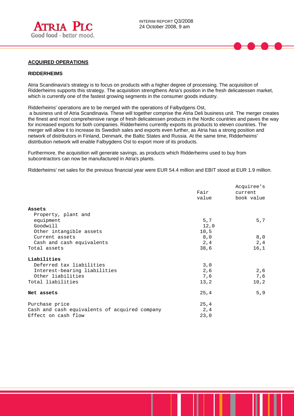

# **ACQUIRED OPERATIONS**

#### **RIDDERHEIMS**

l

Atria Scandinavia's strategy is to focus on products with a higher degree of processing. The acquisition of Ridderheims supports this strategy. The acquisition strengthens Atria's position in the fresh delicatessen market, which is currently one of the fastest growing segments in the consumer goods industry.

Ridderheims' operations are to be merged with the operations of Falbydgens Ost,

 a business unit of Atria Scandinavia. These will together comprise the Atria Deli business unit. The merger creates the finest and most comprehensive range of fresh delicatessen products in the Nordic countries and paves the way for increased exports for both companies. Ridderheims currently exports its products to eleven countries. The merger will allow it to increase its Swedish sales and exports even further, as Atria has a strong position and network of distributors in Finland, Denmark, the Baltic States and Russia. At the same time, Ridderheims' distribution network will enable Falbygdens Ost to export more of its products.

Furthermore, the acquisition will generate savings, as products which Ridderheims used to buy from subcontractors can now be manufactured in Atria's plants.

Ridderheims' net sales for the previous financial year were EUR 54.4 million and EBIT stood at EUR 1.9 million.

|                                               | Fair<br>value | Acquiree's<br>current<br>book value |
|-----------------------------------------------|---------------|-------------------------------------|
| Assets                                        |               |                                     |
| Property, plant and                           |               |                                     |
| equipment                                     | 5,7           | 5,7                                 |
| Goodwill                                      | 12,0          |                                     |
| Other intangible assets                       | 10,5          |                                     |
| Current assets                                | 8,0           | 8,0                                 |
| Cash and cash equivalents                     | 2,4           | 2, 4                                |
| Total assets                                  | 38,6          | 16,1                                |
| Liabilities                                   |               |                                     |
| Deferred tax liabilities                      | 3,0           |                                     |
| Interest-bearing liabilities                  | 2,6           | 2,6                                 |
| Other liabilities                             | 7,6           | 7,6                                 |
| Total liabilities                             | 13, 2         | 10, 2                               |
| Net assets                                    | 25, 4         | 5, 9                                |
| Purchase price                                | 25, 4         |                                     |
| Cash and cash equivalents of acquired company | 2,4           |                                     |
| Effect on cash flow                           | 23,0          |                                     |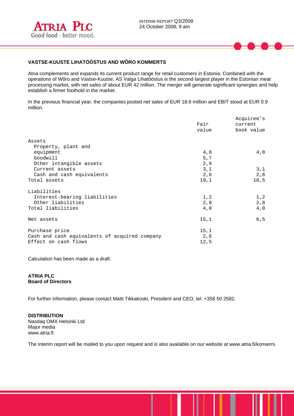

# **VASTSE-KUUSTE LIHATÖÖSTUS AND WÕRO KOMMERTS**

Atria complements and expands its current product range for retail customers in Estonia. Combined with the operations of Wõro and Vastse-Kuutse, AS Valga Lihatööstus is the second largest player in the Estonian meat processing market, with net sales of about EUR 42 million. The merger will generate significant synergies and help establish a firmer foothold in the market.

In the previous financial year, the companies posted net sales of EUR 18.6 million and EBIT stood at EUR 0.9 million.

|                                               | Fair<br>value | Acquiree's<br>current<br>book value |
|-----------------------------------------------|---------------|-------------------------------------|
| Assets                                        |               |                                     |
| Property, plant and                           |               |                                     |
| equipment                                     | 4,8           | 4,8                                 |
| Goodwill                                      | 5,7           |                                     |
| Other intangible assets                       | 2,9           |                                     |
| Current assets                                | 3,1           | 3,1                                 |
| Cash and cash equivalents                     | 2,6           | 2,6                                 |
| Total assets                                  | 19,1          | 10,5                                |
| Liabilities                                   |               |                                     |
| Interest-bearing liabilities                  | 1, 2          | 1, 2                                |
| Other liabilities                             | 2,8           | 2,8                                 |
| Total liabilities                             | 4,0           | 4,0                                 |
| Net assets                                    | 15,1          | 6, 5                                |
| Purchase price                                | 15,1          |                                     |
| Cash and cash equivalents of acquired company | 2,6           |                                     |
| Effect on cash flows                          | 12,5          |                                     |

Calculation has been made as a draft.

#### **ATRIA PLC Board of Directors**

For further information, please contact Matti Tikkakoski, President and CEO, tel. +358 50 2582.

**DISTRIBUTION**  Nasdaq OMX Helsinki Ltd Major media www.atria.fi

The interim report will be mailed to you upon request and is also available on our website at www.atria.fi/konserni.